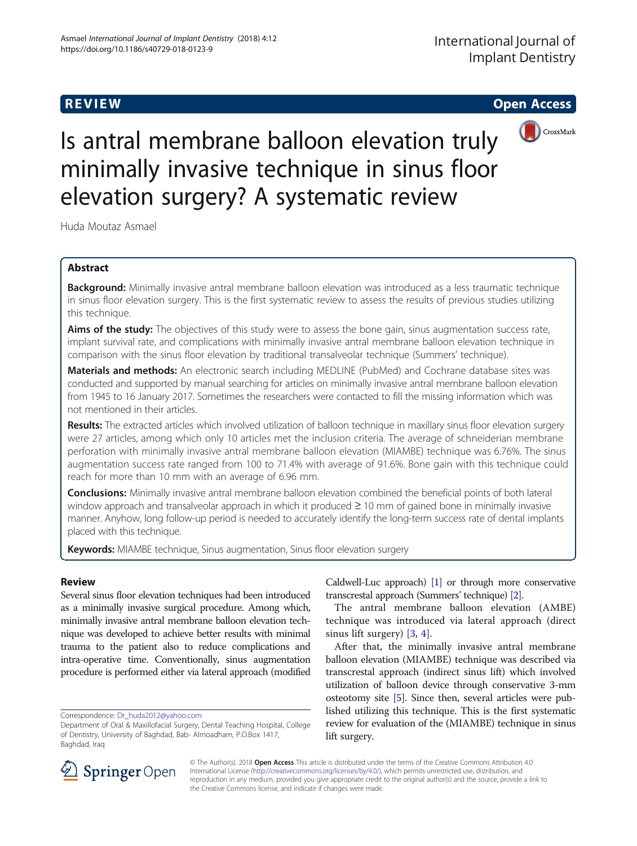R EVI EW Open Access



# Is antral membrane balloon elevation truly minimally invasive technique in sinus floor elevation surgery? A systematic review

Huda Moutaz Asmael

# Abstract

Background: Minimally invasive antral membrane balloon elevation was introduced as a less traumatic technique in sinus floor elevation surgery. This is the first systematic review to assess the results of previous studies utilizing this technique.

Aims of the study: The objectives of this study were to assess the bone gain, sinus augmentation success rate, implant survival rate, and complications with minimally invasive antral membrane balloon elevation technique in comparison with the sinus floor elevation by traditional transalveolar technique (Summers' technique).

Materials and methods: An electronic search including MEDLINE (PubMed) and Cochrane database sites was conducted and supported by manual searching for articles on minimally invasive antral membrane balloon elevation from 1945 to 16 January 2017. Sometimes the researchers were contacted to fill the missing information which was not mentioned in their articles.

Results: The extracted articles which involved utilization of balloon technique in maxillary sinus floor elevation surgery were 27 articles, among which only 10 articles met the inclusion criteria. The average of schneiderian membrane perforation with minimally invasive antral membrane balloon elevation (MIAMBE) technique was 6.76%. The sinus augmentation success rate ranged from 100 to 71.4% with average of 91.6%. Bone gain with this technique could reach for more than 10 mm with an average of 6.96 mm.

**Conclusions:** Minimally invasive antral membrane balloon elevation combined the beneficial points of both lateral window approach and transalveolar approach in which it produced ≥ 10 mm of gained bone in minimally invasive manner. Anyhow, long follow-up period is needed to accurately identify the long-term success rate of dental implants placed with this technique.

Keywords: MIAMBE technique, Sinus augmentation, Sinus floor elevation surgery

# Review

Several sinus floor elevation techniques had been introduced as a minimally invasive surgical procedure. Among which, minimally invasive antral membrane balloon elevation technique was developed to achieve better results with minimal trauma to the patient also to reduce complications and intra-operative time. Conventionally, sinus augmentation procedure is performed either via lateral approach (modified

Correspondence: [Dr\\_huda2012@yahoo.com](mailto:Dr_huda2012@yahoo.com)

Caldwell-Luc approach) [\[1\]](#page-6-0) or through more conservative transcrestal approach (Summers' technique) [\[2\]](#page-6-0).

The antral membrane balloon elevation (AMBE) technique was introduced via lateral approach (direct sinus lift surgery) [[3,](#page-6-0) [4\]](#page-6-0).

After that, the minimally invasive antral membrane balloon elevation (MIAMBE) technique was described via transcrestal approach (indirect sinus lift) which involved utilization of balloon device through conservative 3-mm osteotomy site [[5\]](#page-6-0). Since then, several articles were published utilizing this technique. This is the first systematic review for evaluation of the (MIAMBE) technique in sinus lift surgery.



© The Author(s). 2018 Open Access This article is distributed under the terms of the Creative Commons Attribution 4.0 International License ([http://creativecommons.org/licenses/by/4.0/\)](http://creativecommons.org/licenses/by/4.0/), which permits unrestricted use, distribution, and reproduction in any medium, provided you give appropriate credit to the original author(s) and the source, provide a link to the Creative Commons license, and indicate if changes were made.

Department of Oral & Maxillofacial Surgery, Dental Teaching Hospital, College of Dentistry, University of Baghdad, Bab- Almoadham, P.O.Box 1417, Baghdad, Iraq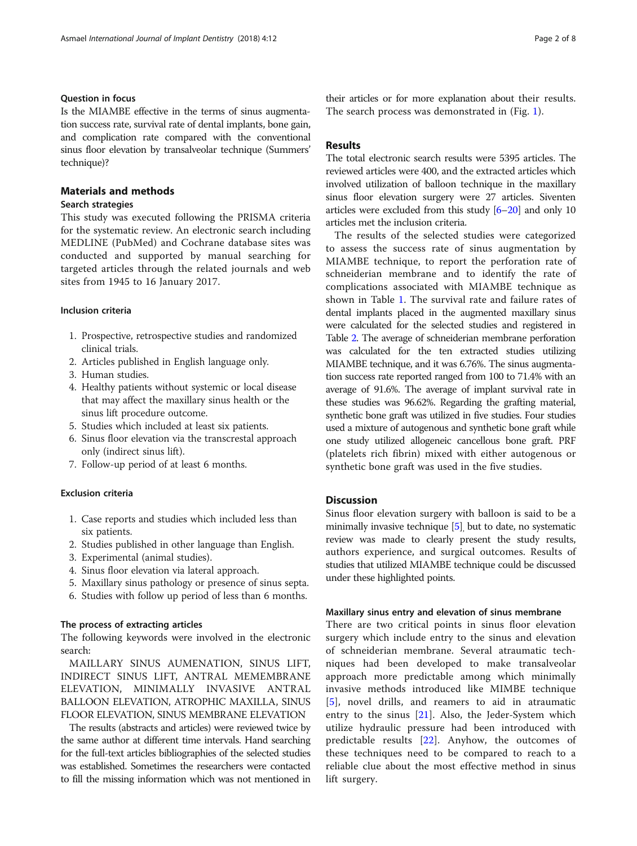# Question in focus

Is the MIAMBE effective in the terms of sinus augmentation success rate, survival rate of dental implants, bone gain, and complication rate compared with the conventional sinus floor elevation by transalveolar technique (Summers' technique)?

# Materials and methods

# Search strategies

This study was executed following the PRISMA criteria for the systematic review. An electronic search including MEDLINE (PubMed) and Cochrane database sites was conducted and supported by manual searching for targeted articles through the related journals and web sites from 1945 to 16 January 2017.

# Inclusion criteria

- 1. Prospective, retrospective studies and randomized clinical trials.
- 2. Articles published in English language only.
- 3. Human studies.
- 4. Healthy patients without systemic or local disease that may affect the maxillary sinus health or the sinus lift procedure outcome.
- 5. Studies which included at least six patients.
- 6. Sinus floor elevation via the transcrestal approach only (indirect sinus lift).
- 7. Follow-up period of at least 6 months.

### Exclusion criteria

- 1. Case reports and studies which included less than six patients.
- 2. Studies published in other language than English.
- 3. Experimental (animal studies).
- 4. Sinus floor elevation via lateral approach.
- 5. Maxillary sinus pathology or presence of sinus septa.
- 6. Studies with follow up period of less than 6 months.

# The process of extracting articles

The following keywords were involved in the electronic search:

MAILLARY SINUS AUMENATION, SINUS LIFT, INDIRECT SINUS LIFT, ANTRAL MEMEMBRANE ELEVATION, MINIMALLY INVASIVE ANTRAL BALLOON ELEVATION, ATROPHIC MAXILLA, SINUS FLOOR ELEVATION, SINUS MEMBRANE ELEVATION

The results (abstracts and articles) were reviewed twice by the same author at different time intervals. Hand searching for the full-text articles bibliographies of the selected studies was established. Sometimes the researchers were contacted to fill the missing information which was not mentioned in

their articles or for more explanation about their results. The search process was demonstrated in (Fig. [1](#page-2-0)).

# Results

The total electronic search results were 5395 articles. The reviewed articles were 400, and the extracted articles which involved utilization of balloon technique in the maxillary sinus floor elevation surgery were 27 articles. Siventen articles were excluded from this study [\[6](#page-6-0)–[20](#page-7-0)] and only 10 articles met the inclusion criteria.

The results of the selected studies were categorized to assess the success rate of sinus augmentation by MIAMBE technique, to report the perforation rate of schneiderian membrane and to identify the rate of complications associated with MIAMBE technique as shown in Table [1.](#page-3-0) The survival rate and failure rates of dental implants placed in the augmented maxillary sinus were calculated for the selected studies and registered in Table [2](#page-5-0). The average of schneiderian membrane perforation was calculated for the ten extracted studies utilizing MIAMBE technique, and it was 6.76%. The sinus augmentation success rate reported ranged from 100 to 71.4% with an average of 91.6%. The average of implant survival rate in these studies was 96.62%. Regarding the grafting material, synthetic bone graft was utilized in five studies. Four studies used a mixture of autogenous and synthetic bone graft while one study utilized allogeneic cancellous bone graft. PRF (platelets rich fibrin) mixed with either autogenous or synthetic bone graft was used in the five studies.

# **Discussion**

Sinus floor elevation surgery with balloon is said to be a minimally invasive technique [\[5\]](#page-6-0), but to date, no systematic review was made to clearly present the study results, authors experience, and surgical outcomes. Results of studies that utilized MIAMBE technique could be discussed under these highlighted points.

# Maxillary sinus entry and elevation of sinus membrane

There are two critical points in sinus floor elevation surgery which include entry to the sinus and elevation of schneiderian membrane. Several atraumatic techniques had been developed to make transalveolar approach more predictable among which minimally invasive methods introduced like MIMBE technique [[5](#page-6-0)], novel drills, and reamers to aid in atraumatic entry to the sinus [\[21](#page-7-0)]. Also, the Jeder-System which utilize hydraulic pressure had been introduced with predictable results [[22\]](#page-7-0). Anyhow, the outcomes of these techniques need to be compared to reach to a reliable clue about the most effective method in sinus lift surgery.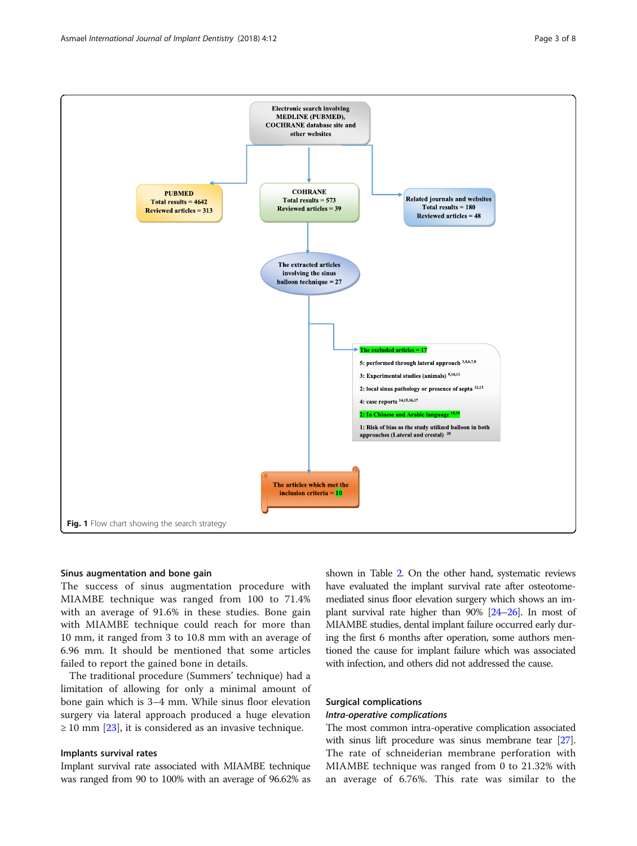<span id="page-2-0"></span>

# Sinus augmentation and bone gain

The success of sinus augmentation procedure with MIAMBE technique was ranged from 100 to 71.4% with an average of 91.6% in these studies. Bone gain with MIAMBE technique could reach for more than 10 mm, it ranged from 3 to 10.8 mm with an average of 6.96 mm. It should be mentioned that some articles failed to report the gained bone in details.

The traditional procedure (Summers' technique) had a limitation of allowing for only a minimal amount of bone gain which is 3–4 mm. While sinus floor elevation surgery via lateral approach produced a huge elevation  $\geq$  10 mm [\[23](#page-7-0)], it is considered as an invasive technique.

# Implants survival rates

Implant survival rate associated with MIAMBE technique was ranged from 90 to 100% with an average of 96.62% as

shown in Table [2.](#page-5-0) On the other hand, systematic reviews have evaluated the implant survival rate after osteotomemediated sinus floor elevation surgery which shows an implant survival rate higher than 90% [\[24](#page-7-0)–[26\]](#page-7-0). In most of MIAMBE studies, dental implant failure occurred early during the first 6 months after operation, some authors mentioned the cause for implant failure which was associated with infection, and others did not addressed the cause.

# Surgical complications

# Intra-operative complications

The most common intra-operative complication associated with sinus lift procedure was sinus membrane tear [\[27](#page-7-0)]. The rate of schneiderian membrane perforation with MIAMBE technique was ranged from 0 to 21.32% with an average of 6.76%. This rate was similar to the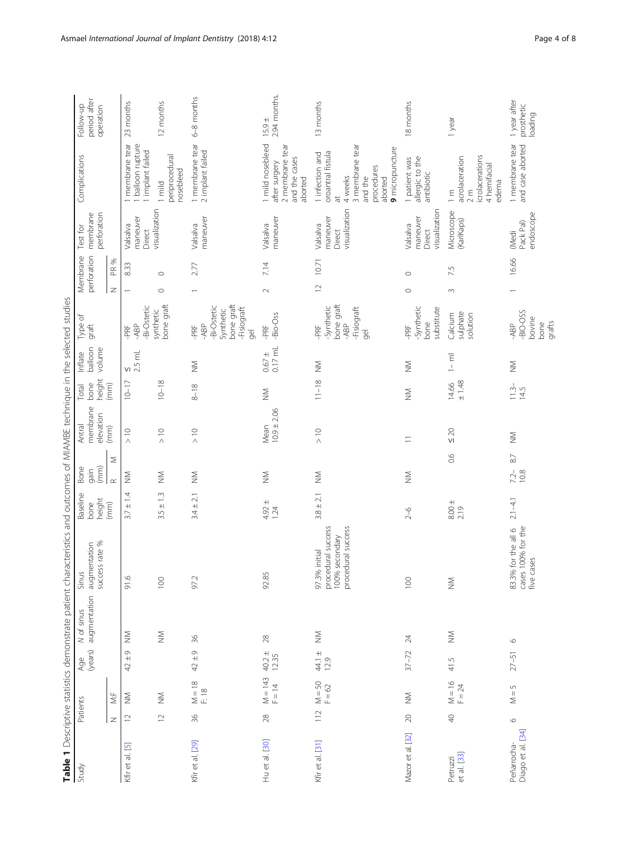<span id="page-3-0"></span>

|                                  |                 |                      |                  |                            | Table 1 Descriptive statistics demonstrate patient characteristics and outcomes of MIAMBE technique in the selected studies |                              |                                      |                                 |                         |                              |                                                                                         |                         |                                                 |                                                                                                                                |                                        |
|----------------------------------|-----------------|----------------------|------------------|----------------------------|-----------------------------------------------------------------------------------------------------------------------------|------------------------------|--------------------------------------|---------------------------------|-------------------------|------------------------------|-----------------------------------------------------------------------------------------|-------------------------|-------------------------------------------------|--------------------------------------------------------------------------------------------------------------------------------|----------------------------------------|
| Study                            | Patients        |                      | (years)<br>Age   | N of sinus<br>augmentation | success rate %<br>augmentation<br>Sinus                                                                                     | Baseline<br>height<br>bone   | $\left( m m \right)$<br>Bone<br>qain | membrane<br>elevation<br>Antral | height<br>bone<br>Total | balloon<br>volume<br>Inflate | Type of<br>graft                                                                        | perforation<br>Membrane | perforation<br>membrane<br>Test for             | Complications                                                                                                                  | period after<br>Follow-up<br>operation |
|                                  | $\mathbb Z$     | \<br>∕i              |                  |                            |                                                                                                                             | (mm)                         | Σ<br>$\propto$                       | (mm)                            | (mm)                    |                              |                                                                                         | PR %<br>$\overline{z}$  |                                                 |                                                                                                                                |                                        |
| Kfir et al. [5]                  | $\supseteq$     | $\lessapprox$        | $42 \pm 9$       | $\sum_{i=1}^{n}$           | 91.6                                                                                                                        | $\pm$ 1.4<br>3.7             | $\lessgtr$                           | $\geq$ 10                       | $10 - 17$               | 2.5 mL<br>$\vee$             | -Bi-Ostetic<br>-ABP<br>$-PRF$                                                           | 8.33                    | maneuver<br>Valsalva<br>Direct                  | membrane tear<br>balloon rupture<br>implant failed                                                                             | 23 months                              |
|                                  | $\supseteq$     | $\geqq$              |                  | $\lessgtr$                 | $\overline{100}$                                                                                                            | $3.5 \pm 1.3$                | $\sum_{i=1}^{n}$                     | $\frac{1}{2}$                   | $10 - 18$               |                              | bone graft<br>synthetic                                                                 | $\circ$<br>$\circ$      | visualization                                   | periprocedural<br>nosebleed<br>1 mild                                                                                          | 12 months                              |
| Kfir et al. [29]                 | 36              | $M = 18$<br>F: 18    | $42 \pm 9$       | δę                         | 97.2                                                                                                                        | $3.4 \pm 2.1$                | $\geqq$                              | $\frac{1}{2}$                   | $8 - 18$                | $\frac{5}{2}$                | bone graft<br>-Bi-Ostetic<br>Fisiograft<br>Synthetic<br>-ABP<br>−PRF<br>$\overline{9}$  | 2.77                    | maneuver<br>Valsalva                            | 1 membrane tear<br>2 implant failed                                                                                            | 6-8 months                             |
| Hu et al. [30]                   | $28$            | $M = 143$<br>F = 14  | $40.2 \pm 12.35$ | $^{28}$                    | 92.85                                                                                                                       | $4.92 \pm 1.24$              | $\gtrapprox$                         | Mean<br>$10.9 \pm 2.06$         | $\sum_{i=1}^{n}$        | $0.67 + 0.17$ mL             | -Bio-Oss<br>-PRF                                                                        | 7.14<br>$\sim$          | maneuver<br>Valsalva                            | 1 mild nosebleed<br>2 membrane tear<br>and the cases<br>after surgery<br>aborted                                               | 2.94 months.<br>$15.9 \pm$             |
| Kfir et al. [31]                 | 112             | $M = 50$<br>$F = 62$ | $44.1 \pm 2.9$   | $\sum_{i=1}^{n}$           | procedural success<br>100% secondary<br>procedural success<br>initial<br>97.3%                                              | $3.8 \pm 2.1$                | $\sum_{i=1}^{n}$                     | $\geq$ 10                       | $11 - 18$               | $\frac{5}{2}$                | bone graft<br><b>Synthetic</b><br><b>Fisiograft</b><br>$-ABP$<br>-PRF<br>$\overline{9}$ | 10.71<br>$\supseteq$    | visualization<br>maneuver<br>Valsalva<br>Direct | 3 membrane tear<br>9 micropuncture<br>1 infection and<br>oroantral fistula<br>procedures<br>4 weeks<br>and the<br>aborted<br>đ | 13 months                              |
| Mazor et al. [32]                | $\overline{20}$ | $\geqq$              | $37 - 72$        | $\overline{24}$            | 100                                                                                                                         | $2 - 6$                      | $\geqq$                              | $\equiv$                        | $\frac{5}{2}$           | $\sum_{\mathbf{Z}}$          | -Synthetic<br>substitute<br>bone<br>−PRF                                                | $\circ$<br>$\circ$      | visualization<br>maneuver<br>Valsalva<br>Direct | allergic to the<br>1 patient was<br>antibiotic                                                                                 | 18 months                              |
| Petruzzi<br>et al. [33]          | $\overline{Q}$  | $M = 16$<br>F = 24   | 41.5             | $\sum_{i=1}^{n}$           | $\geqq$                                                                                                                     | $\frac{8.00 \pm 2.19}{2.19}$ | 0.6                                  | $\leq 20$                       | $\pm$ 1.48<br>14.66     | $1 - m$                      | sulphate<br>Calcium<br>solution                                                         | 7.5<br>$\sim$           | Microscope<br>(KarlKaps)                        | icrolacerations<br>acrolaceration<br>4 hemifacial<br>edema<br>$\sum_{i=1}^{n}$<br>$\frac{2}{3}$ m                              | 1 year                                 |
| Diago et al. [34]<br>Peñarrocha- | $\circ$         | $M = 5$              | $27 - 51$        | 6                          | 100% for the<br>83.3% for the all 6<br>five cases<br>cases                                                                  | $2.1 - 4.1$                  | 87<br>$72 -$<br>10.8                 | $\sum_{i=1}^{n}$                | $\frac{11.5}{14.5}$     | $\frac{5}{2}$                | -BIO-OSS<br>bovine<br>grafts<br>bone<br>-ABP                                            | 16.66                   | endoscope<br>Pack Pal)<br>(Medi                 | 1 membrane tear<br>and case aborted                                                                                            | 1 year after<br>prosthetic<br>loading  |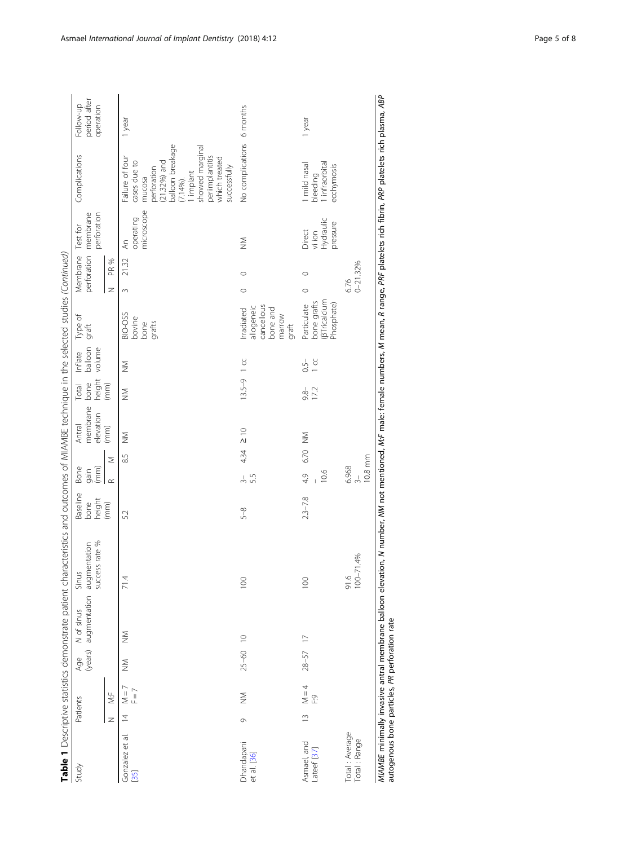|                                                |                |                    |              |                                                           | Table 1 Descriptive statistics demonstrate patient characteristics and outcomes of MIAMBE technique in the selected studies (Continued)                                                      |                            |                                   |                                 |                         |                                 |                                                                       |                      |                                                 |                                                                                                                                                                                                    |                                        |
|------------------------------------------------|----------------|--------------------|--------------|-----------------------------------------------------------|----------------------------------------------------------------------------------------------------------------------------------------------------------------------------------------------|----------------------------|-----------------------------------|---------------------------------|-------------------------|---------------------------------|-----------------------------------------------------------------------|----------------------|-------------------------------------------------|----------------------------------------------------------------------------------------------------------------------------------------------------------------------------------------------------|----------------------------------------|
| Study                                          |                | Patients           |              | Age M of sinus Sinus<br>(years) augmentation augmentation | success rate %                                                                                                                                                                               | Baseline<br>height<br>bone | Bone<br>(mm)<br>gain              | membrane<br>elevation<br>Antral | height<br>bone<br>Total | balloon<br>volume<br>Inflate    | Type of<br>graft                                                      | Membrane             | perforation membrane<br>perforation<br>Test for | Complications                                                                                                                                                                                      | period after<br>Follow-up<br>operation |
|                                                | Z              | √.⊧                |              |                                                           |                                                                                                                                                                                              | (mm)                       | Σ<br>$\alpha$                     | (mm)                            | (mm)                    |                                 |                                                                       | PR %<br>Z            |                                                 |                                                                                                                                                                                                    |                                        |
| Gonzalez et al.<br>[35]                        | $\overline{4}$ | $M = 7$<br>$F = 7$ | $\geqq$      | $\geqq$                                                   | 71.4                                                                                                                                                                                         | 52                         | 85                                | $\geqq$                         | $\frac{5}{2}$           | $\geqq$                         | BIO-OSS<br>bovine<br>grafts<br>bone                                   | 21.32<br>3           | microscope<br>operating<br>ξ                    | balloon breakage<br>showed marginal<br>Failure of four<br>periimplantitis<br>which treated<br>cases due to<br>$(21.32%)$ and<br>successfully<br>perforation<br>I implant<br>mucosa<br>$(7.14\%)$ . | 1 year                                 |
| Dhandapani<br>et al. [36]                      | Ò              | $\geqq$            | $25 - 60$ 10 |                                                           | $\overline{0}$                                                                                                                                                                               | $5 - 8$                    | 434<br>53<br>$\frac{1}{2}$        | $\frac{1}{2}$                   | $13.5 - 9$ 1 cc         |                                 | cancellous<br>allogeneic<br>bone and<br>Irradiated<br>marrow<br>graft | $\circ$<br>$\circ$   | $\geqq$                                         | No complications                                                                                                                                                                                   | 6 months                               |
| Asmael, and<br>Lateef [37]                     | $\frac{1}{2}$  | $M = 4$<br>ç.i     | $28 - 57$ 17 |                                                           | $\overline{0}$                                                                                                                                                                               | $2.3 - 7.8$                | 6.70<br>10.6<br>4.9               | $\geqq$                         | $-8.6$<br>17.2          | $1 \text{ }^{\circ}$<br>$0.5 -$ | (BTricalcium<br>bone grafts<br>Phosphate)<br>Particulate              | $\circ$<br>$\circ$   | Hydraulic<br>pressure<br>Direct<br>vi ion       | infraorbital<br>I mild nasal<br>ecchymosis<br>bleeding                                                                                                                                             | 1 year                                 |
| Total: Average<br>Total: Range                 |                |                    |              |                                                           | $91.6$<br>$100-71.4%$                                                                                                                                                                        |                            | 10.8 mm<br>6.968<br>$\frac{1}{2}$ |                                 |                         |                                 |                                                                       | $0 - 21.32%$<br>6.76 |                                                 |                                                                                                                                                                                                    |                                        |
| autogenous bone particles, PR perforation rate |                |                    |              |                                                           | MIAMBE minimally invasive antral membrane balloon elevation, N number, M not mentioned, M/F male: female numbers, M mean, R range, PRF platelets rich fibrin, PRP platelets rich plasma, ABP |                            |                                   |                                 |                         |                                 |                                                                       |                      |                                                 |                                                                                                                                                                                                    |                                        |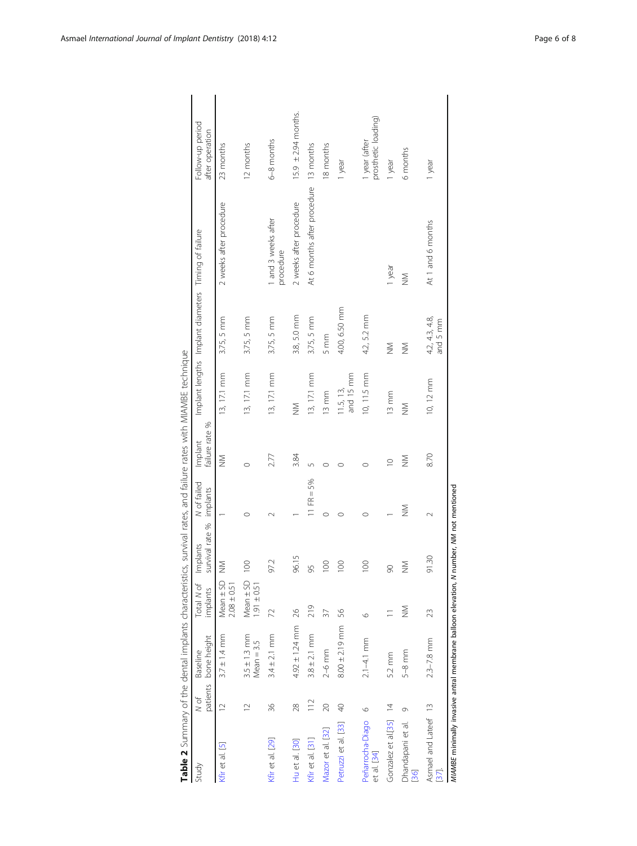<span id="page-5-0"></span>

| Table 2 Summary of the dental implants characteristics, survival rates, and failure rates with MIAMBE technique |                  |                                  |                                                                           |                             |                         |                           |                         |                                                     |                                       |                                      |
|-----------------------------------------------------------------------------------------------------------------|------------------|----------------------------------|---------------------------------------------------------------------------|-----------------------------|-------------------------|---------------------------|-------------------------|-----------------------------------------------------|---------------------------------------|--------------------------------------|
| Study                                                                                                           | patients<br>N of | bone height<br>Baseline          | Total N of<br>implants                                                    | survival rate %<br>Implants | N of failed<br>implants | Implant<br>failure rate % |                         | Implant lengths Implant diameters Timing of failure |                                       | Follow-up period<br>after operation  |
| Kfr et al. [5]                                                                                                  | $\overline{C}$   | $3.7 \pm 1.4 \, \text{mm}$       | $\begin{array}{c} \text{Mean} \pm \text{SD} \\ 2.08 \pm 0.51 \end{array}$ | $\geqq$                     |                         | $\geqq$                   | 13, 17.1 mm             | $3.75, 5$ mm                                        | 2 weeks after procedure               | 23 months                            |
|                                                                                                                 | $\overline{12}$  | $3.5 \pm 1.3$ mm<br>$Mean = 3.5$ | $Mean \pm SD$<br>$1.91 \pm 0.51$                                          | 8                           | $\circ$                 | $\circ$                   | 13, 17.1 mm             | $3.75, 5$ mm                                        |                                       | 12 months                            |
| Kfir et al. [29]                                                                                                | 36               | $3.4 \pm 2.1$ mm                 | 72                                                                        | 97.2                        |                         | 2.77                      | 13, 17.1 mm             | 3.75, 5 mm                                          | 1 and 3 weeks after<br>procedure      | 6-8 months                           |
| Hu et al. [30]                                                                                                  | 28               | $4.92 \pm 1.24$ mm               | 26                                                                        | 96.15                       |                         | 3.84                      | $\sum_{i=1}^{n}$        | 3.8, 5.0 mm                                         | 2 weeks after procedure               | $15.9 \pm 2.94$ months.              |
| Kfir et al. [31]                                                                                                | 112              | $3.8 \pm 2.1$ mm                 | 219                                                                       | 95                          | 11 FR = $5%$            | $\sqrt{2}$                | $13, 17.1$ mm           | 3.75, 5 mm                                          | At 6 months after procedure 13 months |                                      |
| Mazor et al. [32]                                                                                               | $\infty$         | $2-6$ mm                         | 37                                                                        | $\rm ^{\rm o}$              | $\circ$                 | $\circ$                   | 13 mm                   | 5mm                                                 |                                       | 18 months                            |
| Petruzzi et al. [33]                                                                                            | $\sqrt{4}$       | $8.00 \pm 2.19$ mm               | 56                                                                        | 8                           | $\circ$                 | ◠                         | 11.5, 13, 13, and 15 mm | 4.00, 6.50 mm                                       |                                       | 1 year                               |
| Peñarrocha-Diago<br>et al. [34]                                                                                 | $\circ$          | $2.1 - 4.1$ mm                   | $\circ$                                                                   | 8                           | $\circ$                 | $\circ$                   | 10, 11.5 mm             | 4.2, 5.2 mm                                         |                                       | prosthetic loading)<br>I year (after |
| Gonzalez et al.[35]                                                                                             | $\overline{4}$   | 5.2 mm                           |                                                                           | $\infty$                    |                         | $\supseteq$               | $13$ mm                 | $\geqq$                                             | 1 year                                | 1 year                               |
| Dhandapani et al.<br>[36]                                                                                       | Ò                | $5-8$ mm                         | $\geqq$                                                                   | $\geqq$                     | $\geqq$                 | $\sum_{i=1}^{n}$          | $\geq$                  | $\geq$                                              | $\geqq$                               | 6 months                             |
| Asmael and Lateef 13<br>37.                                                                                     |                  | $2.3 - 7.8$ mm                   | 23                                                                        | 91.30                       | $\sim$                  | 8.70                      | 10, 12 mm               | 4.2, 4.3, 4.8,<br>and 5 mm                          | At 1 and 6 months                     | 1 year                               |
| MIAMBE minimally invasive antral membrane balloon elevation, N number, NM not mentioned                         |                  |                                  |                                                                           |                             |                         |                           |                         |                                                     |                                       |                                      |

| ١<br>i                                                                                                            |
|-------------------------------------------------------------------------------------------------------------------|
| Ì                                                                                                                 |
| ļ                                                                                                                 |
|                                                                                                                   |
| 1                                                                                                                 |
|                                                                                                                   |
| Į<br>j                                                                                                            |
| ì<br>١                                                                                                            |
|                                                                                                                   |
|                                                                                                                   |
|                                                                                                                   |
| $-1.1$                                                                                                            |
|                                                                                                                   |
|                                                                                                                   |
|                                                                                                                   |
|                                                                                                                   |
|                                                                                                                   |
| J                                                                                                                 |
|                                                                                                                   |
| ׇ֚֬֓֡֡֡<br>j                                                                                                      |
|                                                                                                                   |
| 5<br>ì                                                                                                            |
| ļ                                                                                                                 |
| ¢<br>֧֦֧֢ׅ֖֖֖֖֖֧ׅ֖֧֧֚֚֚֚֚֚֚֚֚֚֚֚֚֚֚֚֚֚֚֚֚֚֬֬֝֓֡֡֓֬֞֝֓֞                                                            |
| ioc                                                                                                               |
| j<br>í                                                                                                            |
| $\frac{1}{2}$                                                                                                     |
|                                                                                                                   |
| $\frac{1}{2}$                                                                                                     |
|                                                                                                                   |
|                                                                                                                   |
| 5                                                                                                                 |
| こくし                                                                                                               |
| うり                                                                                                                |
|                                                                                                                   |
| . A is a check of the state of $\sim$                                                                             |
| りりり                                                                                                               |
|                                                                                                                   |
|                                                                                                                   |
| ֖֖֖֖֖֖֖֖ׅׅׅ֪֪ׅ֪֪֪֪֪֪֪֪֪֪֪ׅ֚֚֚֚֚֚֚֚֚֚֚֚֚֚֚֚֚֚֚֡֡֡֓֡֡֝֬֓֡֬֝֓֬֓֡֬֓֞֬֓֓֞֬֓֓֬֓֓֞֬֓֞֓֞֬֓֬֝֬<br>$\overline{\phantom{a}}$ |
| J                                                                                                                 |
| i<br>!<br>$\overline{ }$                                                                                          |
|                                                                                                                   |
| 3<br>1<br>¢                                                                                                       |
|                                                                                                                   |
| $\frac{1}{2}$                                                                                                     |
|                                                                                                                   |
| $2 + 2$<br>j                                                                                                      |
|                                                                                                                   |
| J                                                                                                                 |
| i<br>1                                                                                                            |
| l                                                                                                                 |
| ï                                                                                                                 |
|                                                                                                                   |
| $+$                                                                                                               |
| S                                                                                                                 |
| Ċ<br>֖֖ׅ֧ׅׅׅ֚֚֚֚֚֚֚֚֚֚֚֚֚֚֚֚֚֚֚֚֚֚֚֚֡֘֡֓֡֞֡֡֓֞֡֡֓֡֡֬                                                              |
|                                                                                                                   |
|                                                                                                                   |
|                                                                                                                   |
|                                                                                                                   |
| able 2 Summa                                                                                                      |
|                                                                                                                   |
|                                                                                                                   |
|                                                                                                                   |
| I                                                                                                                 |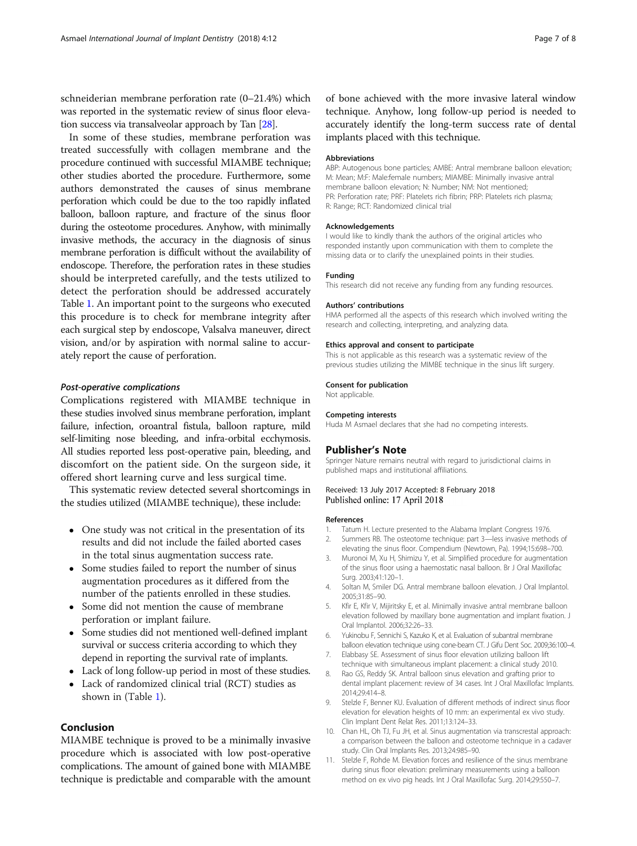<span id="page-6-0"></span>schneiderian membrane perforation rate (0–21.4%) which was reported in the systematic review of sinus floor elevation success via transalveolar approach by Tan [\[28](#page-7-0)].

In some of these studies, membrane perforation was treated successfully with collagen membrane and the procedure continued with successful MIAMBE technique; other studies aborted the procedure. Furthermore, some authors demonstrated the causes of sinus membrane perforation which could be due to the too rapidly inflated balloon, balloon rapture, and fracture of the sinus floor during the osteotome procedures. Anyhow, with minimally invasive methods, the accuracy in the diagnosis of sinus membrane perforation is difficult without the availability of endoscope. Therefore, the perforation rates in these studies should be interpreted carefully, and the tests utilized to detect the perforation should be addressed accurately Table [1.](#page-3-0) An important point to the surgeons who executed this procedure is to check for membrane integrity after each surgical step by endoscope, Valsalva maneuver, direct vision, and/or by aspiration with normal saline to accurately report the cause of perforation.

#### Post-operative complications

Complications registered with MIAMBE technique in these studies involved sinus membrane perforation, implant failure, infection, oroantral fistula, balloon rapture, mild self-limiting nose bleeding, and infra-orbital ecchymosis. All studies reported less post-operative pain, bleeding, and discomfort on the patient side. On the surgeon side, it offered short learning curve and less surgical time.

This systematic review detected several shortcomings in the studies utilized (MIAMBE technique), these include:

- One study was not critical in the presentation of its results and did not include the failed aborted cases in the total sinus augmentation success rate.
- Some studies failed to report the number of sinus augmentation procedures as it differed from the number of the patients enrolled in these studies.
- Some did not mention the cause of membrane perforation or implant failure.
- Some studies did not mentioned well-defined implant survival or success criteria according to which they depend in reporting the survival rate of implants.
- Lack of long follow-up period in most of these studies.
- Lack of randomized clinical trial (RCT) studies as shown in (Table [1\)](#page-3-0).

# Conclusion

MIAMBE technique is proved to be a minimally invasive procedure which is associated with low post-operative complications. The amount of gained bone with MIAMBE technique is predictable and comparable with the amount

of bone achieved with the more invasive lateral window technique. Anyhow, long follow-up period is needed to accurately identify the long-term success rate of dental implants placed with this technique.

#### Abbreviations

ABP: Autogenous bone particles; AMBE: Antral membrane balloon elevation; M: Mean; M:F: Male:female numbers; MIAMBE: Minimally invasive antral membrane balloon elevation; N: Number; NM: Not mentioned; PR: Perforation rate; PRF: Platelets rich fibrin; PRP: Platelets rich plasma; R: Range; RCT: Randomized clinical trial

#### Acknowledgements

I would like to kindly thank the authors of the original articles who responded instantly upon communication with them to complete the missing data or to clarify the unexplained points in their studies.

#### Funding

This research did not receive any funding from any funding resources.

#### Authors' contributions

HMA performed all the aspects of this research which involved writing the research and collecting, interpreting, and analyzing data.

#### Ethics approval and consent to participate

This is not applicable as this research was a systematic review of the previous studies utilizing the MIMBE technique in the sinus lift surgery.

#### Consent for publication

Not applicable.

#### Competing interests

Huda M Asmael declares that she had no competing interests.

#### Publisher's Note

Springer Nature remains neutral with regard to jurisdictional claims in published maps and institutional affiliations.

### Received: 13 July 2017 Accepted: 8 February 2018 Published online: 17 April 2018

#### References

- 1. Tatum H. Lecture presented to the Alabama Implant Congress 1976.
- 2. Summers RB. The osteotome technique: part 3—less invasive methods of elevating the sinus floor. Compendium (Newtown, Pa). 1994;15:698–700.
- 3. Muronoi M, Xu H, Shimizu Y, et al. Simplified procedure for augmentation of the sinus floor using a haemostatic nasal balloon. Br J Oral Maxillofac Surg. 2003;41:120–1.
- 4. Soltan M, Smiler DG. Antral membrane balloon elevation. J Oral Implantol. 2005;31:85–90.
- 5. Kfir E, Kfir V, Mijiritsky E, et al. Minimally invasive antral membrane balloon elevation followed by maxillary bone augmentation and implant fixation. J Oral Implantol. 2006;32:26–33.
- 6. Yukinobu F, Sennichi S, Kazuko K, et al. Evaluation of subantral membrane balloon elevation technique using cone-beam CT. J Gifu Dent Soc. 2009;36:100–4.
- 7. Elabbasy SE. Assessment of sinus floor elevation utilizing balloon lift technique with simultaneous implant placement: a clinical study 2010.
- 8. Rao GS, Reddy SK. Antral balloon sinus elevation and grafting prior to dental implant placement: review of 34 cases. Int J Oral Maxillofac Implants. 2014;29:414–8.
- 9. Stelzle F, Benner KU. Evaluation of different methods of indirect sinus floor elevation for elevation heights of 10 mm: an experimental ex vivo study. Clin Implant Dent Relat Res. 2011;13:124–33.
- 10. Chan HL, Oh TJ, Fu JH, et al. Sinus augmentation via transcrestal approach: a comparison between the balloon and osteotome technique in a cadaver study. Clin Oral Implants Res. 2013;24:985–90.
- 11. Stelzle F, Rohde M. Elevation forces and resilience of the sinus membrane during sinus floor elevation: preliminary measurements using a balloon method on ex vivo pig heads. Int J Oral Maxillofac Surg. 2014;29:550–7.